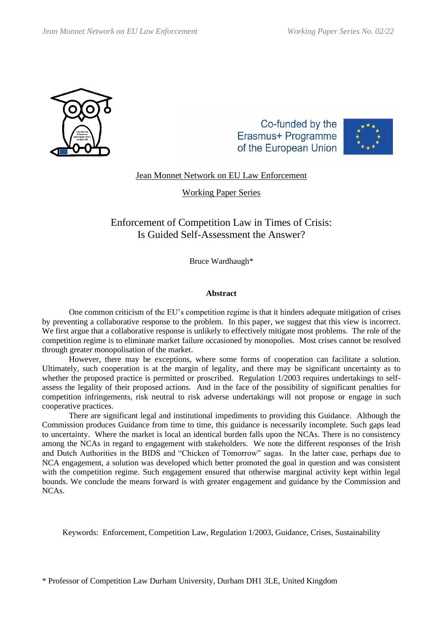

Co-funded by the Erasmus+ Programme of the European Union



Jean Monnet Network on EU Law Enforcement

Working Paper Series

Enforcement of Competition Law in Times of Crisis: Is Guided Self-Assessment the Answer?

Bruce Wardhaugh\*

# **Abstract**

One common criticism of the EU's competition regime is that it hinders adequate mitigation of crises by preventing a collaborative response to the problem. In this paper, we suggest that this view is incorrect. We first argue that a collaborative response is unlikely to effectively mitigate most problems. The role of the competition regime is to eliminate market failure occasioned by monopolies. Most crises cannot be resolved through greater monopolisation of the market.

However, there may be exceptions, where some forms of cooperation can facilitate a solution. Ultimately, such cooperation is at the margin of legality, and there may be significant uncertainty as to whether the proposed practice is permitted or proscribed. Regulation  $1/2003$  requires undertakings to selfassess the legality of their proposed actions. And in the face of the possibility of significant penalties for competition infringements, risk neutral to risk adverse undertakings will not propose or engage in such cooperative practices.

There are significant legal and institutional impediments to providing this Guidance. Although the Commission produces Guidance from time to time, this guidance is necessarily incomplete. Such gaps lead to uncertainty. Where the market is local an identical burden falls upon the NCAs. There is no consistency among the NCAs in regard to engagement with stakeholders. We note the different responses of the Irish and Dutch Authorities in the BIDS and "Chicken of Tomorrow" sagas. In the latter case, perhaps due to NCA engagement, a solution was developed which better promoted the goal in question and was consistent with the competition regime. Such engagement ensured that otherwise marginal activity kept within legal bounds. We conclude the means forward is with greater engagement and guidance by the Commission and NCAs.

Keywords: Enforcement, Competition Law, Regulation 1/2003, Guidance, Crises, Sustainability

\* Professor of Competition Law Durham University, Durham DH1 3LE, United Kingdom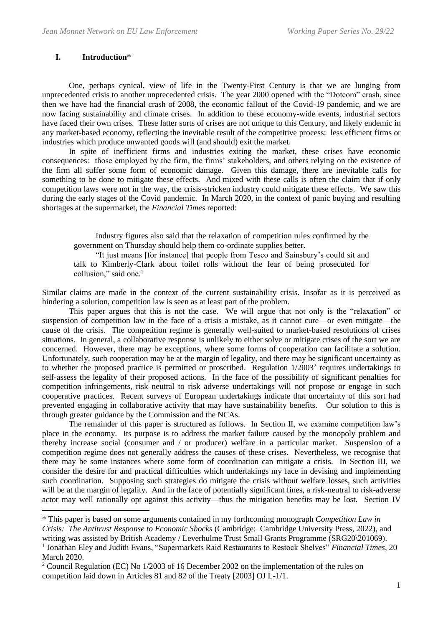## **I. Introduction**\*

One, perhaps cynical, view of life in the Twenty-First Century is that we are lunging from unprecedented crisis to another unprecedented crisis. The year 2000 opened with the "Dotcom" crash, since then we have had the financial crash of 2008, the economic fallout of the Covid-19 pandemic, and we are now facing sustainability and climate crises. In addition to these economy-wide events, industrial sectors have faced their own crises. These latter sorts of crises are not unique to this Century, and likely endemic in any market-based economy, reflecting the inevitable result of the competitive process: less efficient firms or industries which produce unwanted goods will (and should) exit the market.

In spite of inefficient firms and industries exiting the market, these crises have economic consequences: those employed by the firm, the firms' stakeholders, and others relying on the existence of the firm all suffer some form of economic damage. Given this damage, there are inevitable calls for something to be done to mitigate these effects. And mixed with these calls is often the claim that if only competition laws were not in the way, the crisis-stricken industry could mitigate these effects. We saw this during the early stages of the Covid pandemic. In March 2020, in the context of panic buying and resulting shortages at the supermarket, the *Financial Times* reported:

Industry figures also said that the relaxation of competition rules confirmed by the government on Thursday should help them co-ordinate supplies better.

<span id="page-1-0"></span>"It just means [for instance] that people from Tesco and Sainsbury's could sit and talk to Kimberly-Clark about toilet rolls without the fear of being prosecuted for collusion," said one. $<sup>1</sup>$ </sup>

Similar claims are made in the context of the current sustainability crisis. Insofar as it is perceived as hindering a solution, competition law is seen as at least part of the problem.

This paper argues that this is not the case. We will argue that not only is the "relaxation" or suspension of competition law in the face of a crisis a mistake, as it cannot cure—or even mitigate—the cause of the crisis. The competition regime is generally well-suited to market-based resolutions of crises situations. In general, a collaborative response is unlikely to either solve or mitigate crises of the sort we are concerned. However, there may be exceptions, where some forms of cooperation can facilitate a solution. Unfortunately, such cooperation may be at the margin of legality, and there may be significant uncertainty as to whether the proposed practice is permitted or proscribed. Regulation 1/2003<sup>2</sup> requires undertakings to self-assess the legality of their proposed actions. In the face of the possibility of significant penalties for competition infringements, risk neutral to risk adverse undertakings will not propose or engage in such cooperative practices. Recent surveys of European undertakings indicate that uncertainty of this sort had prevented engaging in collaborative activity that may have sustainability benefits. Our solution to this is through greater guidance by the Commission and the NCAs.

The remainder of this paper is structured as follows. In Section II, we examine competition law's place in the economy. Its purpose is to address the market failure caused by the monopoly problem and thereby increase social (consumer and / or producer) welfare in a particular market. Suspension of a competition regime does not generally address the causes of these crises. Nevertheless, we recognise that there may be some instances where some form of coordination can mitigate a crisis. In Section III, we consider the desire for and practical difficulties which undertakings my face in devising and implementing such coordination. Supposing such strategies do mitigate the crisis without welfare losses, such activities will be at the margin of legality. And in the face of potentially significant fines, a risk-neutral to risk-adverse actor may well rationally opt against this activity—thus the mitigation benefits may be lost. Section IV

<sup>\*</sup> This paper is based on some arguments contained in my forthcoming monograph *Competition Law in* 

*Crisis: The Antitrust Response to Economic Shocks* (Cambridge: Cambridge University Press, 2022), and writing was assisted by British Academy / Leverhulme Trust Small Grants Programme (SRG20\201069). <sup>1</sup> Jonathan Eley and Judith Evans, "Supermarkets Raid Restaurants to Restock Shelves" Financial Times, 20

March 2020.

<sup>&</sup>lt;sup>2</sup> Council Regulation (EC) No 1/2003 of 16 December 2002 on the implementation of the rules on competition laid down in Articles 81 and 82 of the Treaty [2003] OJ L-1/1.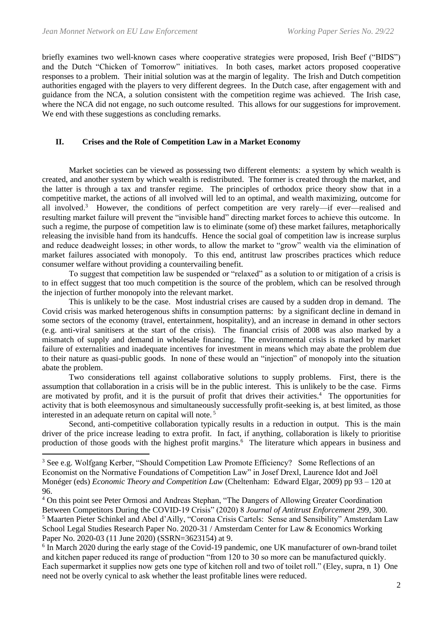briefly examines two well-known cases where cooperative strategies were proposed, Irish Beef ("BIDS") and the Dutch "Chicken of Tomorrow" initiatives. In both cases, market actors proposed cooperative responses to a problem. Their initial solution was at the margin of legality. The Irish and Dutch competition authorities engaged with the players to very different degrees. In the Dutch case, after engagement with and guidance from the NCA, a solution consistent with the competition regime was achieved. The Irish case, where the NCA did not engage, no such outcome resulted. This allows for our suggestions for improvement. We end with these suggestions as concluding remarks.

## **II. Crises and the Role of Competition Law in a Market Economy**

Market societies can be viewed as possessing two different elements: a system by which wealth is created, and another system by which wealth is redistributed. The former is created through the market, and the latter is through a tax and transfer regime. The principles of orthodox price theory show that in a competitive market, the actions of all involved will led to an optimal, and wealth maximizing, outcome for all involved.<sup>3</sup> However, the conditions of perfect competition are very rarely—if ever—realised and resulting market failure will prevent the "invisible hand" directing market forces to achieve this outcome. In such a regime, the purpose of competition law is to eliminate (some of) these market failures, metaphorically releasing the invisible hand from its handcuffs. Hence the social goal of competition law is increase surplus and reduce deadweight losses; in other words, to allow the market to "grow" wealth via the elimination of market failures associated with monopoly. To this end, antitrust law proscribes practices which reduce consumer welfare without providing a countervailing benefit.

To suggest that competition law be suspended or "relaxed" as a solution to or mitigation of a crisis is to in effect suggest that too much competition is the source of the problem, which can be resolved through the injection of further monopoly into the relevant market.

This is unlikely to be the case. Most industrial crises are caused by a sudden drop in demand. The Covid crisis was marked heterogenous shifts in consumption patterns: by a significant decline in demand in some sectors of the economy (travel, entertainment, hospitality), and an increase in demand in other sectors (e.g. anti-viral sanitisers at the start of the crisis). The financial crisis of 2008 was also marked by a mismatch of supply and demand in wholesale financing. The environmental crisis is marked by market failure of externalities and inadequate incentives for investment in means which may abate the problem due to their nature as quasi-public goods. In none of these would an "injection" of monopoly into the situation abate the problem.

Two considerations tell against collaborative solutions to supply problems. First, there is the assumption that collaboration in a crisis will be in the public interest. This is unlikely to be the case. Firms are motivated by profit, and it is the pursuit of profit that drives their activities.<sup>4</sup> The opportunities for activity that is both eleemosynous and simultaneously successfully profit-seeking is, at best limited, as those interested in an adequate return on capital will note.<sup>5</sup>

Second, anti-competitive collaboration typically results in a reduction in output. This is the main driver of the price increase leading to extra profit. In fact, if anything, collaboration is likely to prioritise production of those goods with the highest profit margins.<sup>6</sup> The literature which appears in business and

<sup>&</sup>lt;sup>3</sup> See e.g. Wolfgang Kerber, "Should Competition Law Promote Efficiency? Some Reflections of an Economist on the Normative Foundations of Competition Law" in Josef Drexl, Laurence Idot and Joël Monéger (eds) *Economic Theory and Competition Law* (Cheltenham: Edward Elgar, 2009) pp 93 – 120 at 96.

<sup>4</sup> On this point see Peter Ormosi and Andreas Stephan, "The Dangers of Allowing Greater Coordination Between Competitors During the COVID-19 Crisis" (2020) 8 *Journal of Antitrust Enforcement* 299, 300. <sup>5</sup> Maarten Pieter Schinkel and Abel d'Ailly, "Corona Crisis Cartels: Sense and Sensibility" Amsterdam Law School Legal Studies Research Paper No. 2020-31 / Amsterdam Center for Law & Economics Working Paper No. 2020-03 (11 June 2020) (SSRN=3623154) at 9.

<sup>&</sup>lt;sup>6</sup> In March 2020 during the early stage of the Covid-19 pandemic, one UK manufacturer of own-brand toilet and kitchen paper reduced its range of production "from 120 to 30 so more can be manufactured quickly. Each supermarket it supplies now gets one type of kitchen roll and two of toilet roll." (Eley, supra, n [1\)](#page-1-0) One need not be overly cynical to ask whether the least profitable lines were reduced.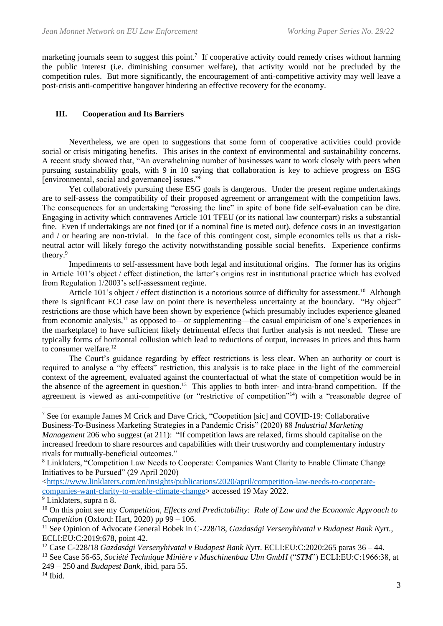marketing journals seem to suggest this point.<sup>7</sup> If cooperative activity could remedy crises without harming the public interest (i.e. diminishing consumer welfare), that activity would not be precluded by the competition rules. But more significantly, the encouragement of anti-competitive activity may well leave a post-crisis anti-competitive hangover hindering an effective recovery for the economy.

# **III. Cooperation and Its Barriers**

Nevertheless, we are open to suggestions that some form of cooperative activities could provide social or crisis mitigating benefits. This arises in the context of environmental and sustainability concerns. A recent study showed that, "An overwhelming number of businesses want to work closely with peers when pursuing sustainability goals, with 9 in 10 saying that collaboration is key to achieve progress on ESG [environmental, social and governance] issues."<sup>8</sup>

<span id="page-3-0"></span>Yet collaboratively pursuing these ESG goals is dangerous. Under the present regime undertakings are to self-assess the compatibility of their proposed agreement or arrangement with the competition laws. The consequences for an undertaking "crossing the line" in spite of bone fide self-evaluation can be dire. Engaging in activity which contravenes Article 101 TFEU (or its national law counterpart) risks a substantial fine. Even if undertakings are not fined (or if a nominal fine is meted out), defence costs in an investigation and / or hearing are non-trivial. In the face of this contingent cost, simple economics tells us that a riskneutral actor will likely forego the activity notwithstanding possible social benefits. Experience confirms theory. 9

Impediments to self-assessment have both legal and institutional origins. The former has its origins in Article 101's object / effect distinction, the latter's origins rest in institutional practice which has evolved from Regulation 1/2003's self-assessment regime.

Article 101's object / effect distinction is a notorious source of difficulty for assessment.<sup>10</sup> Although there is significant ECJ case law on point there is nevertheless uncertainty at the boundary. "By object" restrictions are those which have been shown by experience (which presumably includes experience gleaned from economic analysis,<sup>11</sup> as opposed to—or supplementing—the casual empiricism of one's experiences in the marketplace) to have sufficient likely detrimental effects that further analysis is not needed. These are typically forms of horizontal collusion which lead to reductions of output, increases in prices and thus harm to consumer welfare.<sup>12</sup>

The Court's guidance regarding by effect restrictions is less clear. When an authority or court is required to analyse a "by effects" restriction, this analysis is to take place in the light of the commercial context of the agreement, evaluated against the counterfactual of what the state of competition would be in the absence of the agreement in question.<sup>13</sup> This applies to both inter- and intra-brand competition. If the agreement is viewed as anti-competitive (or "restrictive of competition"<sup>14</sup>) with a "reasonable degree of

<sup>7</sup> See for example James M Crick and Dave Crick, "Coopetition [sic] and COVID-19: Collaborative Business-To-Business Marketing Strategies in a Pandemic Crisis" (2020) 88 *Industrial Marketing Management* 206 who suggest (at 211): "If competition laws are relaxed, firms should capitalise on the increased freedom to share resources and capabilities with their trustworthy and complementary industry rivals for mutually-beneficial outcomes."

<sup>8</sup> Linklaters, "Competition Law Needs to Cooperate: Companies Want Clarity to Enable Climate Change Initiatives to be Pursued" (29 April 2020)

[<sup>&</sup>lt;https://www.linklaters.com/en/insights/publications/2020/april/competition-law-needs-to-cooperate](https://www.linklaters.com/en/insights/publications/2020/april/competition-law-needs-to-cooperate-companies-want-clarity-to-enable-climate-change)[companies-want-clarity-to-enable-climate-change>](https://www.linklaters.com/en/insights/publications/2020/april/competition-law-needs-to-cooperate-companies-want-clarity-to-enable-climate-change) accessed 19 May 2022.

 $\sqrt[9]{\text{Linklaters}}$ , supra n [8.](#page-3-0)

<sup>&</sup>lt;sup>10</sup> On this point see my *Competition, Effects and Predictability: Rule of Law and the Economic Approach to Competition* (Oxford: Hart, 2020) pp 99 – 106.

<sup>11</sup> See Opinion of Advocate General Bobek in C-228/18, *Gazdasági Versenyhivatal v Budapest Bank Nyrt.,* ECLI:EU:C:2019:678, point 42.

<sup>12</sup> Case C-228/18 *Gazdasági Versenyhivatal v Budapest Bank Nyrt*. ECLI:EU:C:2020:265 paras 36 – 44.

<sup>13</sup> See Case 56-65, *Société Technique Minière v Maschinenbau Ulm GmbH* ("*STM*") ECLI:EU:C:1966:38, at 249 – 250 and *Budapest Bank*, ibid, para 55.

 $14$  Ibid.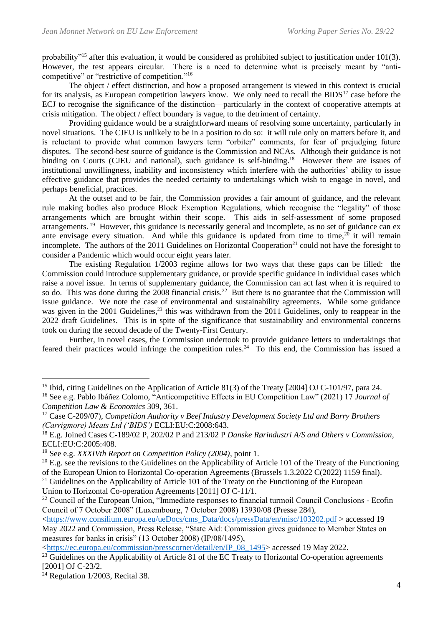probability"<sup>15</sup> after this evaluation, it would be considered as prohibited subject to justification under 101(3). However, the test appears circular. There is a need to determine what is precisely meant by "anticompetitive" or "restrictive of competition."<sup>16</sup>

<span id="page-4-0"></span>The object / effect distinction, and how a proposed arrangement is viewed in this context is crucial for its analysis, as European competition lawyers know. We only need to recall the BIDS<sup>17</sup> case before the ECJ to recognise the significance of the distinction—particularly in the context of cooperative attempts at crisis mitigation. The object / effect boundary is vague, to the detriment of certainty.

Providing guidance would be a straightforward means of resolving some uncertainty, particularly in novel situations. The CJEU is unlikely to be in a position to do so: it will rule only on matters before it, and is reluctant to provide what common lawyers term "orbiter" comments, for fear of prejudging future disputes. The second-best source of guidance is the Commission and NCAs. Although their guidance is not binding on Courts (CJEU and national), such guidance is self-binding.<sup>18</sup> However there are issues of institutional unwillingness, inability and inconsistency which interfere with the authorities' ability to issue effective guidance that provides the needed certainty to undertakings which wish to engage in novel, and perhaps beneficial, practices.

At the outset and to be fair, the Commission provides a fair amount of guidance, and the relevant rule making bodies also produce Block Exemption Regulations, which recognise the "legality" of those arrangements which are brought within their scope. This aids in self-assessment of some proposed arrangements.<sup>19</sup> However, this guidance is necessarily general and incomplete, as no set of guidance can ex ante envisage every situation. And while this guidance is updated from time to time,  $2\overline{0}$  it will remain incomplete. The authors of the 2011 Guidelines on Horizontal Cooperation<sup>21</sup> could not have the foresight to consider a Pandemic which would occur eight years later.

<span id="page-4-1"></span>The existing Regulation 1/2003 regime allows for two ways that these gaps can be filled: the Commission could introduce supplementary guidance, or provide specific guidance in individual cases which raise a novel issue. In terms of supplementary guidance, the Commission can act fast when it is required to so do. This was done during the 2008 financial crisis.<sup>22</sup> But there is no guarantee that the Commission will issue guidance. We note the case of environmental and sustainability agreements. While some guidance was given in the 2001 Guidelines,<sup>23</sup> this was withdrawn from the 2011 Guidelines, only to reappear in the 2022 draft Guidelines. This is in spite of the significance that sustainability and environmental concerns took on during the second decade of the Twenty-First Century.

Further, in novel cases, the Commission undertook to provide guidance letters to undertakings that feared their practices would infringe the competition rules.<sup>24</sup> To this end, the Commission has issued a

<sup>&</sup>lt;sup>15</sup> Ibid, citing Guidelines on the Application of Article 81(3) of the Treaty [2004] OJ C-101/97, para 24.

<sup>16</sup> See e.g. Pablo Ibáñez Colomo, "Anticompetitive Effects in EU Competition Law" (2021) 17 *Journal of Competition Law & Economics* 309, 361.

<sup>17</sup> Case C-209/07), *Competition Authority v Beef Industry Development Society Ltd and Barry Brothers (Carrigmore) Meats Ltd ('BIDS')* ECLI:EU:C:2008:643.

<sup>18</sup> E.g. Joined Cases C-189/02 P, 202/02 P and 213/02 P *Danske Rørindustri A/S and Others v Commission*, ECLI:EU:C:2005:408.

<sup>19</sup> See e.g. *XXXIVth Report on Competition Policy (2004)*, point 1.

<sup>&</sup>lt;sup>20</sup> E.g. see the revisions to the Guidelines on the Applicability of Article 101 of the Treaty of the Functioning of the European Union to Horizontal Co-operation Agreements (Brussels 1.3.2022 C(2022) 1159 final).

 $21$  Guidelines on the Applicability of Article 101 of the Treaty on the Functioning of the European Union to Horizontal Co-operation Agreements [2011] OJ C-11/1.

<sup>&</sup>lt;sup>22</sup> Council of the European Union, "Immediate responses to financial turmoil Council Conclusions - Ecofin Council of 7 October 2008" (Luxembourg, 7 October 2008) 13930/08 (Presse 284),

[<sup>&</sup>lt;https://www.consilium.europa.eu/ueDocs/cms\\_Data/docs/pressData/en/misc/103202.pdf](https://www.consilium.europa.eu/ueDocs/cms_Data/docs/pressData/en/misc/103202.pdf) > accessed 19 May 2022 and Commission, Press Release, "State Aid: Commission gives guidance to Member States on measures for banks in crisis" (13 October 2008) (IP/08/1495),

[<sup>&</sup>lt;https://ec.europa.eu/commission/presscorner/detail/en/IP\\_08\\_1495>](https://ec.europa.eu/commission/presscorner/detail/en/IP_08_1495) accessed 19 May 2022.

<sup>&</sup>lt;sup>23</sup> Guidelines on the Applicability of Article 81 of the EC Treaty to Horizontal Co-operation agreements [2001] OJ C-23/2.

 $24$  Regulation 1/2003, Recital 38.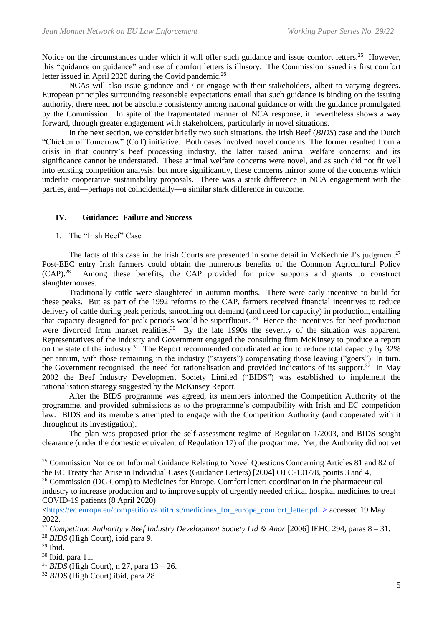Notice on the circumstances under which it will offer such guidance and issue comfort letters.<sup>25</sup> However, this "guidance on guidance" and use of comfort letters is illusory. The Commission issued its first comfort letter issued in April 2020 during the Covid pandemic.<sup>26</sup>

NCAs will also issue guidance and / or engage with their stakeholders, albeit to varying degrees. European principles surrounding reasonable expectations entail that such guidance is binding on the issuing authority, there need not be absolute consistency among national guidance or with the guidance promulgated by the Commission. In spite of the fragmentated manner of NCA response, it nevertheless shows a way forward, through greater engagement with stakeholders, particularly in novel situations.

In the next section, we consider briefly two such situations, the Irish Beef (*BIDS*) case and the Dutch "Chicken of Tomorrow" (CoT) initiative. Both cases involved novel concerns. The former resulted from a crisis in that country's beef processing industry, the latter raised animal welfare concerns; and its significance cannot be understated. These animal welfare concerns were novel, and as such did not fit well into existing competition analysis; but more significantly, these concerns mirror some of the concerns which underlie cooperative sustainability proposals. There was a stark difference in NCA engagement with the parties, and—perhaps not coincidentally—a similar stark difference in outcome.

## **IV. Guidance: Failure and Success**

## <span id="page-5-0"></span>1. The "Irish Beef" Case

The facts of this case in the Irish Courts are presented in some detail in McKechnie J's judgment.<sup>27</sup> Post-EEC entry Irish farmers could obtain the numerous benefits of the Common Agricultural Policy  $(CAP).^{28}$  Among these benefits, the CAP provided for price supports and grants to construct slaughterhouses.

Traditionally cattle were slaughtered in autumn months. There were early incentive to build for these peaks. But as part of the 1992 reforms to the CAP, farmers received financial incentives to reduce delivery of cattle during peak periods, smoothing out demand (and need for capacity) in production, entailing that capacity designed for peak periods would be superfluous. <sup>29</sup> Hence the incentives for beef production were divorced from market realities.<sup>30</sup> By the late 1990s the severity of the situation was apparent. Representatives of the industry and Government engaged the consulting firm McKinsey to produce a report on the state of the industry.<sup>31</sup> The Report recommended coordinated action to reduce total capacity by 32% per annum, with those remaining in the industry ("stayers") compensating those leaving ("goers"). In turn, the Government recognised the need for rationalisation and provided indications of its support.<sup>32</sup> In May 2002 the Beef Industry Development Society Limited ("BIDS") was established to implement the rationalisation strategy suggested by the McKinsey Report.

After the BIDS programme was agreed, its members informed the Competition Authority of the programme, and provided submissions as to the programme's compatibility with Irish and EC competition law. BIDS and its members attempted to engage with the Competition Authority (and cooperated with it throughout its investigation).

The plan was proposed prior the self-assessment regime of Regulation 1/2003, and BIDS sought clearance (under the domestic equivalent of Regulation 17) of the programme. Yet, the Authority did not vet

<sup>29</sup> Ibid.

- <sup>31</sup> *BIDS* (High Court), n [27,](#page-5-0) para 13 26.
- <sup>32</sup> *BIDS* (High Court) ibid, para 28.

<sup>&</sup>lt;sup>25</sup> Commission Notice on Informal Guidance Relating to Novel Ouestions Concerning Articles 81 and 82 of the EC Treaty that Arise in Individual Cases (Guidance Letters) [2004] OJ C-101/78, points 3 and 4,

<sup>&</sup>lt;sup>26</sup> Commission (DG Comp) to Medicines for Europe, Comfort letter: coordination in the pharmaceutical industry to increase production and to improve supply of urgently needed critical hospital medicines to treat COVID-19 patients (8 April 2020)

[<sup>&</sup>lt;https://ec.europa.eu/competition/antitrust/medicines\\_for\\_europe\\_comfort\\_letter.pdf](https://ec.europa.eu/competition/antitrust/medicines_for_europe_comfort_letter.pdf) > accessed 19 May 2022.

<sup>27</sup> *Competition Authority v Beef Industry Development Society Ltd & Anor* [2006] IEHC 294, paras 8 – 31. <sup>28</sup> *BIDS* (High Court), ibid para 9.

<sup>30</sup> Ibid, para 11.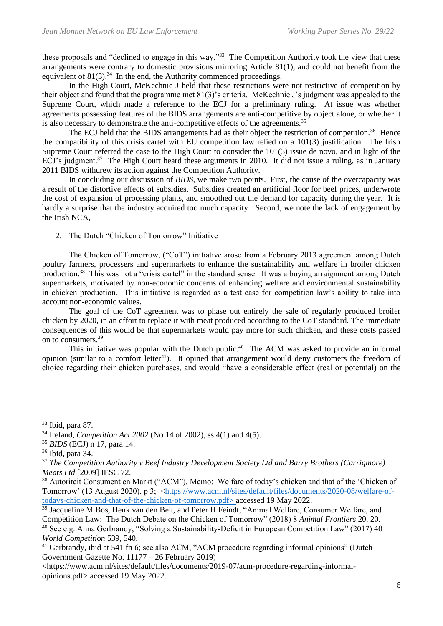these proposals and "declined to engage in this way."<sup>33</sup> The Competition Authority took the view that these arrangements were contrary to domestic provisions mirroring Article 81(1), and could not benefit from the equivalent of  $81(3).^{34}$  In the end, the Authority commenced proceedings.

In the High Court, McKechnie J held that these restrictions were not restrictive of competition by their object and found that the programme met 81(3)'s criteria. McKechnie J's judgment was appealed to the Supreme Court, which made a reference to the ECJ for a preliminary ruling. At issue was whether agreements possessing features of the BIDS arrangements are anti-competitive by object alone, or whether it is also necessary to demonstrate the anti-competitive effects of the agreements.<sup>35</sup>

The ECJ held that the BIDS arrangements had as their object the restriction of competition.<sup>36</sup> Hence the compatibility of this crisis cartel with EU competition law relied on a 101(3) justification. The Irish Supreme Court referred the case to the High Court to consider the 101(3) issue de novo, and in light of the ECJ's judgment.<sup>37</sup> The High Court heard these arguments in 2010. It did not issue a ruling, as in January 2011 BIDS withdrew its action against the Competition Authority.

In concluding our discussion of *BIDS*, we make two points. First, the cause of the overcapacity was a result of the distortive effects of subsidies. Subsidies created an artificial floor for beef prices, underwrote the cost of expansion of processing plants, and smoothed out the demand for capacity during the year. It is hardly a surprise that the industry acquired too much capacity. Second, we note the lack of engagement by the Irish NCA,

# 2. The Dutch "Chicken of Tomorrow" Initiative

The Chicken of Tomorrow, ("CoT") initiative arose from a February 2013 agreement among Dutch poultry farmers, processers and supermarkets to enhance the sustainability and welfare in broiler chicken production.<sup>38</sup> This was not a "crisis cartel" in the standard sense. It was a buying arraignment among Dutch supermarkets, motivated by non-economic concerns of enhancing welfare and environmental sustainability in chicken production. This initiative is regarded as a test case for competition law's ability to take into account non-economic values.

The goal of the CoT agreement was to phase out entirely the sale of regularly produced broiler chicken by 2020, in an effort to replace it with meat produced according to the CoT standard. The immediate consequences of this would be that supermarkets would pay more for such chicken, and these costs passed on to consumers.<sup>39</sup>

This initiative was popular with the Dutch public.<sup>40</sup> The ACM was asked to provide an informal opinion (similar to a comfort letter<sup>41</sup>). It opined that arrangement would deny customers the freedom of choice regarding their chicken purchases, and would "have a considerable effect (real or potential) on the

<https://www.acm.nl/sites/default/files/documents/2019-07/acm-procedure-regarding-informalopinions.pdf> accessed 19 May 2022.

<sup>33</sup> Ibid, para 87.

<sup>34</sup> Ireland, *Competition Act 2002* (No 14 of 2002), ss 4(1) and 4(5).

<sup>35</sup> *BIDS* (ECJ) n [17,](#page-4-0) para 14.

<sup>36</sup> Ibid, para 34.

<sup>37</sup> *The Competition Authority v Beef Industry Development Society Ltd and Barry Brothers (Carrigmore) Meats Ltd* [2009] IESC 72.

<sup>38</sup> Autoriteit Consument en Markt ("ACM"), Memo: Welfare of today's chicken and that of the 'Chicken of Tomorrow' (13 August 2020), p 3; [<https://www.acm.nl/sites/default/files/documents/2020-08/welfare-of](https://www.acm.nl/sites/default/files/documents/2020-08/welfare-of-todays-chicken-and-that-of-the-chicken-of-tomorrow.pdf)[todays-chicken-and-that-of-the-chicken-of-tomorrow.pdf>](https://www.acm.nl/sites/default/files/documents/2020-08/welfare-of-todays-chicken-and-that-of-the-chicken-of-tomorrow.pdf) accessed 19 May 2022.

<sup>&</sup>lt;sup>39</sup> Jacqueline M Bos, Henk van den Belt, and Peter H Feindt, "Animal Welfare, Consumer Welfare, and Competition Law: The Dutch Debate on the Chicken of Tomorrow" (2018) 8 *Animal Frontiers* 20, 20. <sup>40</sup> See e.g. Anna Gerbrandy, "Solving a Sustainability-Deficit in European Competition Law" (2017) 40 *World Competition* 539, 540.

<sup>&</sup>lt;sup>41</sup> Gerbrandy, ibid at 541 fn 6; see also ACM, "ACM procedure regarding informal opinions" (Dutch Government Gazette No. 11177 – 26 February 2019)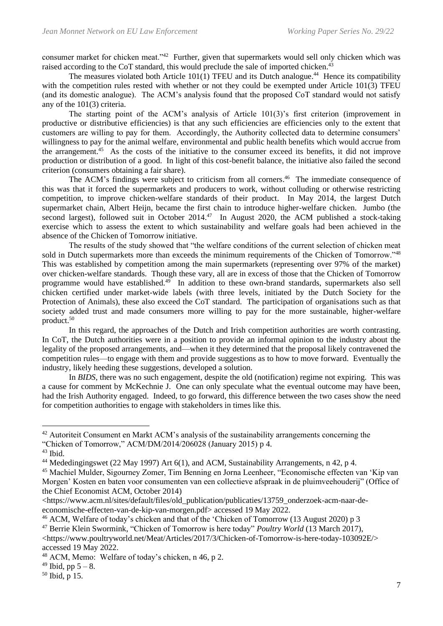<span id="page-7-0"></span>consumer market for chicken meat."<sup>42</sup> Further, given that supermarkets would sell only chicken which was raised according to the CoT standard, this would preclude the sale of imported chicken.<sup>43</sup>

The measures violated both Article 101(1) TFEU and its Dutch analogue.<sup>44</sup> Hence its compatibility with the competition rules rested with whether or not they could be exempted under Article 101(3) TFEU (and its domestic analogue). The ACM's analysis found that the proposed CoT standard would not satisfy any of the 101(3) criteria.

The starting point of the ACM's analysis of Article 101(3)'s first criterion (improvement in productive or distributive efficiencies) is that any such efficiencies are efficiencies only to the extent that customers are willing to pay for them. Accordingly, the Authority collected data to determine consumers' willingness to pay for the animal welfare, environmental and public health benefits which would accrue from the arrangement.<sup>45</sup> As the costs of the initiative to the consumer exceed its benefits, it did not improve production or distribution of a good. In light of this cost-benefit balance, the initiative also failed the second criterion (consumers obtaining a fair share).

<span id="page-7-1"></span>The ACM's findings were subject to criticism from all corners.<sup>46</sup> The immediate consequence of this was that it forced the supermarkets and producers to work, without colluding or otherwise restricting competition, to improve chicken-welfare standards of their product. In May 2014, the largest Dutch supermarket chain, Albert Heijn, became the first chain to introduce higher-welfare chicken. Jumbo (the second largest), followed suit in October 2014.<sup>47</sup> In August 2020, the ACM published a stock-taking exercise which to assess the extent to which sustainability and welfare goals had been achieved in the absence of the Chicken of Tomorrow initiative.

The results of the study showed that "the welfare conditions of the current selection of chicken meat sold in Dutch supermarkets more than exceeds the minimum requirements of the Chicken of Tomorrow."<sup>48</sup> This was established by competition among the main supermarkets (representing over 97% of the market) over chicken-welfare standards. Though these vary, all are in excess of those that the Chicken of Tomorrow programme would have established.<sup>49</sup> In addition to these own-brand standards, supermarkets also sell chicken certified under market-wide labels (with three levels, initiated by the Dutch Society for the Protection of Animals), these also exceed the CoT standard. The participation of organisations such as that society added trust and made consumers more willing to pay for the more sustainable, higher-welfare product.<sup>50</sup>

In this regard, the approaches of the Dutch and Irish competition authorities are worth contrasting. In CoT, the Dutch authorities were in a position to provide an informal opinion to the industry about the legality of the proposed arrangements, and—when it they determined that the proposal likely contravened the competition rules—to engage with them and provide suggestions as to how to move forward. Eventually the industry, likely heeding these suggestions, developed a solution.

In *BIDS*, there was no such engagement, despite the old (notification) regime not expiring. This was a cause for comment by McKechnie J. One can only speculate what the eventual outcome may have been, had the Irish Authority engaged. Indeed, to go forward, this difference between the two cases show the need for competition authorities to engage with stakeholders in times like this.

<sup>46</sup> ACM, Welfare of today's chicken and that of the 'Chicken of Tomorrow (13 August 2020) p 3

<sup>&</sup>lt;sup>42</sup> Autoriteit Consument en Markt ACM's analysis of the sustainability arrangements concerning the "Chicken of Tomorrow," ACM/DM/2014/206028 (January 2015) p 4.

 $43$  Ibid.

<sup>&</sup>lt;sup>44</sup> Mededingingswet (22 May 1997) Art 6(1), and ACM, Sustainability Arrangements, n [42,](#page-7-0) p 4.

<sup>45</sup> Machiel Mulder, Sigourney Zomer, Tim Benning en Jorna Leenheer, "Economische effecten van 'Kip van Morgen' Kosten en baten voor consumenten van een collectieve afspraak in de pluimveehouderij" (Office of the Chief Economist ACM, October 2014)

<sup>&</sup>lt;https://www.acm.nl/sites/default/files/old\_publication/publicaties/13759\_onderzoek-acm-naar-deeconomische-effecten-van-de-kip-van-morgen.pdf> accessed 19 May 2022.

<sup>47</sup> Berrie Klein Swormink, "Chicken of Tomorrow is here today" *Poultry World* (13 March 2017), <https://www.poultryworld.net/Meat/Articles/2017/3/Chicken-of-Tomorrow-is-here-today-103092E/> accessed 19 May 2022.

<sup>48</sup> ACM, Memo: Welfare of today's chicken, n [46,](#page-7-1) p 2.

 $49$  Ibid, pp  $5 - 8$ .

 $50$  Ibid, p 15.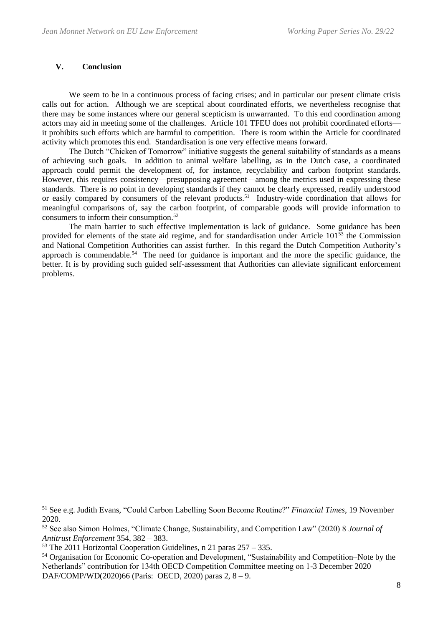# **V. Conclusion**

We seem to be in a continuous process of facing crises; and in particular our present climate crisis calls out for action. Although we are sceptical about coordinated efforts, we nevertheless recognise that there may be some instances where our general scepticism is unwarranted. To this end coordination among actors may aid in meeting some of the challenges. Article 101 TFEU does not prohibit coordinated efforts it prohibits such efforts which are harmful to competition. There is room within the Article for coordinated activity which promotes this end. Standardisation is one very effective means forward.

The Dutch "Chicken of Tomorrow" initiative suggests the general suitability of standards as a means of achieving such goals. In addition to animal welfare labelling, as in the Dutch case, a coordinated approach could permit the development of, for instance, recyclability and carbon footprint standards. However, this requires consistency—presupposing agreement—among the metrics used in expressing these standards. There is no point in developing standards if they cannot be clearly expressed, readily understood or easily compared by consumers of the relevant products.<sup>51</sup> Industry-wide coordination that allows for meaningful comparisons of, say the carbon footprint, of comparable goods will provide information to consumers to inform their consumption.<sup>52</sup>

The main barrier to such effective implementation is lack of guidance. Some guidance has been provided for elements of the state aid regime, and for standardisation under Article 101<sup>53</sup> the Commission and National Competition Authorities can assist further. In this regard the Dutch Competition Authority's approach is commendable.<sup>54</sup> The need for guidance is important and the more the specific guidance, the better. It is by providing such guided self-assessment that Authorities can alleviate significant enforcement problems.

<sup>51</sup> See e.g. Judith Evans, "Could Carbon Labelling Soon Become Routine?" *Financial Times*, 19 November 2020.

<sup>52</sup> See also Simon Holmes, "Climate Change, Sustainability, and Competition Law" (2020) 8 *Journal of Antitrust Enforcement* 354, 382 – 383.

 $53$  The 2011 Horizontal Cooperation Guidelines, n [21](#page-4-1) paras  $257 - 335$ .

<sup>54</sup> Organisation for Economic Co-operation and Development, "Sustainability and Competition–Note by the Netherlands" contribution for 134th OECD Competition Committee meeting on 1-3 December 2020 DAF/COMP/WD(2020)66 (Paris: OECD, 2020) paras 2, 8 – 9.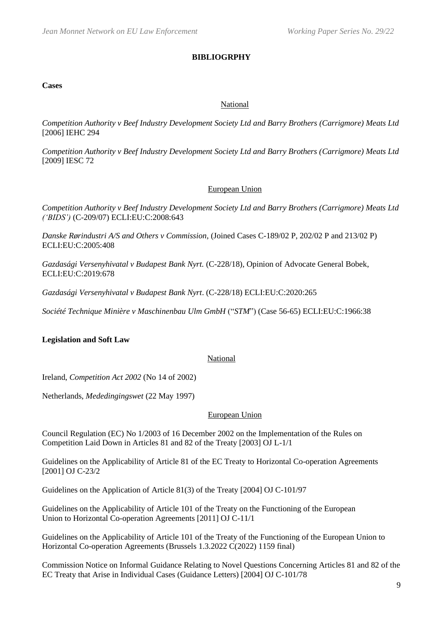## **BIBLIOGRPHY**

#### **Cases**

## National

*Competition Authority v Beef Industry Development Society Ltd and Barry Brothers (Carrigmore) Meats Ltd* [2006] IEHC 294

*Competition Authority v Beef Industry Development Society Ltd and Barry Brothers (Carrigmore) Meats Ltd* [2009] IESC 72

## European Union

*Competition Authority v Beef Industry Development Society Ltd and Barry Brothers (Carrigmore) Meats Ltd ('BIDS')* (C-209/07) ECLI:EU:C:2008:643

*Danske Rørindustri A/S and Others v Commission*, (Joined Cases C-189/02 P, 202/02 P and 213/02 P) ECLI:EU:C:2005:408

*Gazdasági Versenyhivatal v Budapest Bank Nyrt.* (C-228/18)*,* Opinion of Advocate General Bobek, ECLI:EU:C:2019:678

*Gazdasági Versenyhivatal v Budapest Bank Nyrt*. (C-228/18) ECLI:EU:C:2020:265

*Société Technique Minière v Maschinenbau Ulm GmbH* ("*STM*") (Case 56-65) ECLI:EU:C:1966:38

## **Legislation and Soft Law**

#### National

Ireland, *Competition Act 2002* (No 14 of 2002)

Netherlands, *Mededingingswet* (22 May 1997)

#### European Union

Council Regulation (EC) No 1/2003 of 16 December 2002 on the Implementation of the Rules on Competition Laid Down in Articles 81 and 82 of the Treaty [2003] OJ L-1/1

Guidelines on the Applicability of Article 81 of the EC Treaty to Horizontal Co-operation Agreements [2001] OJ C-23/2

Guidelines on the Application of Article 81(3) of the Treaty [2004] OJ C-101/97

Guidelines on the Applicability of Article 101 of the Treaty on the Functioning of the European Union to Horizontal Co-operation Agreements [2011] OJ C-11/1

Guidelines on the Applicability of Article 101 of the Treaty of the Functioning of the European Union to Horizontal Co-operation Agreements (Brussels 1.3.2022 C(2022) 1159 final)

Commission Notice on Informal Guidance Relating to Novel Questions Concerning Articles 81 and 82 of the EC Treaty that Arise in Individual Cases (Guidance Letters) [2004] OJ C-101/78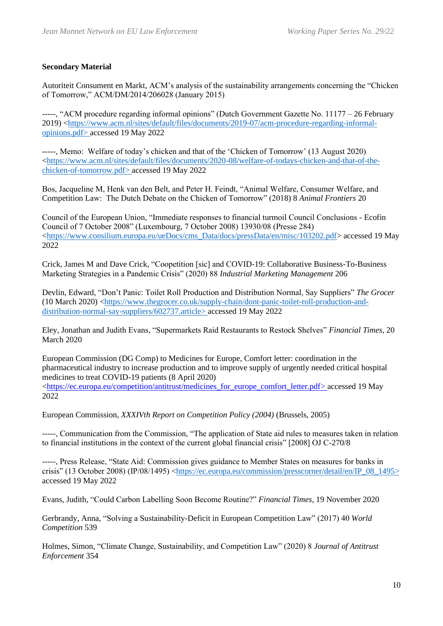# **Secondary Material**

Autoriteit Consument en Markt, ACM's analysis of the sustainability arrangements concerning the "Chicken of Tomorrow," ACM/DM/2014/206028 (January 2015)

-----, "ACM procedure regarding informal opinions" (Dutch Government Gazette No. 11177 – 26 February 2019) [<https://www.acm.nl/sites/default/files/documents/2019-07/acm-procedure-regarding-informal](https://www.acm.nl/sites/default/files/documents/2019-07/acm-procedure-regarding-informal-opinions.pdf)[opinions.pdf>](https://www.acm.nl/sites/default/files/documents/2019-07/acm-procedure-regarding-informal-opinions.pdf) accessed 19 May 2022

-----, Memo: Welfare of today's chicken and that of the 'Chicken of Tomorrow' (13 August 2020) [<https://www.acm.nl/sites/default/files/documents/2020-08/welfare-of-todays-chicken-and-that-of-the](https://www.acm.nl/sites/default/files/documents/2020-08/welfare-of-todays-chicken-and-that-of-the-chicken-of-tomorrow.pdf)[chicken-of-tomorrow.pdf>](https://www.acm.nl/sites/default/files/documents/2020-08/welfare-of-todays-chicken-and-that-of-the-chicken-of-tomorrow.pdf) accessed 19 May 2022

Bos, Jacqueline M, Henk van den Belt, and Peter H. Feindt, "Animal Welfare, Consumer Welfare, and Competition Law: The Dutch Debate on the Chicken of Tomorrow" (2018) 8 *Animal Frontiers* 20

Council of the European Union, "Immediate responses to financial turmoil Council Conclusions - Ecofin Council of 7 October 2008" (Luxembourg, 7 October 2008) 13930/08 (Presse 284) [<https://www.consilium.europa.eu/ueDocs/cms\\_Data/docs/pressData/en/misc/103202.pdf>](https://www.consilium.europa.eu/ueDocs/cms_Data/docs/pressData/en/misc/103202.pdf) accessed 19 May 2022

Crick, James M and Dave Crick, "Coopetition [sic] and COVID-19: Collaborative Business-To-Business Marketing Strategies in a Pandemic Crisis" (2020) 88 *Industrial Marketing Management* 206

Devlin, Edward, "Don't Panic: Toilet Roll Production and Distribution Normal, Say Suppliers" *The Grocer* (10 March 2020) [<https://www.thegrocer.co.uk/supply-chain/dont-panic-toilet-roll-production-and](https://www.thegrocer.co.uk/supply-chain/dont-panic-toilet-roll-production-and-distribution-normal-say-suppliers/602737.article)[distribution-normal-say-suppliers/602737.article>](https://www.thegrocer.co.uk/supply-chain/dont-panic-toilet-roll-production-and-distribution-normal-say-suppliers/602737.article) accessed 19 May 2022

Eley, Jonathan and Judith Evans, "Supermarkets Raid Restaurants to Restock Shelves" *Financial Times*, 20 March 2020

European Commission (DG Comp) to Medicines for Europe, Comfort letter: coordination in the pharmaceutical industry to increase production and to improve supply of urgently needed critical hospital medicines to treat COVID-19 patients (8 April 2020) [<https://ec.europa.eu/competition/antitrust/medicines\\_for\\_europe\\_comfort\\_letter.pdf>](https://ec.europa.eu/competition/antitrust/medicines_for_europe_comfort_letter.pdf) accessed 19 May 2022

European Commission, *XXXIVth Report on Competition Policy (2004)* (Brussels, 2005)

-----, Communication from the Commission, "The application of State aid rules to measures taken in relation to financial institutions in the context of the current global financial crisis" [2008] OJ C-270/8

-----, Press Release, "State Aid: Commission gives guidance to Member States on measures for banks in crisis" (13 October 2008) (IP/08/1495) [<https://ec.europa.eu/commission/presscorner/detail/en/IP\\_08\\_1495>](https://ec.europa.eu/commission/presscorner/detail/en/IP_08_1495) accessed 19 May 2022

Evans, Judith, "Could Carbon Labelling Soon Become Routine?" *Financial Times*, 19 November 2020

Gerbrandy, Anna, "Solving a Sustainability-Deficit in European Competition Law" (2017) 40 *World Competition* 539

Holmes, Simon, "Climate Change, Sustainability, and Competition Law" (2020) 8 *Journal of Antitrust Enforcement* 354